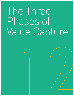# The Three Phases of Value Capture

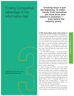## Finding Competitive Advantage in the Information Age

by Rhonda Germany and Raman Muralidharan

**Creating value is just the beginning. To make money from innovation, you must drive your industry's evolution even before the industry exists.**

In 1878, Thomas Edison placed a metal cylinder on

a threaded axle, attached a mouthpiece and diaphragm to a stylus, and, while rotating the device, spoke the words "Mary had a little lamb" into the contraption. Translated into waves and engraved on the cylinder, the sound of his voice was returned to him moments later. That sound gave birth to a vast and influential recording industry, from which Edison — an entrepreneur as well as an inventor — profited greatly. The "Wizard of Menlo Park" had created value and captured a large portion of that value for his company.

In 1999, Shawn Fanning, a 19-year-old computer student, created a software program that allowed individual computers to search for and download music from myriad other computers around the world. Almost immediately, Napster, as he called his Internet-based "peer-to-peer" computing program, began to transform the recording industry: Consumers now could record digitized tunes on their own hard drives, entirely free of any type of royalty or other charge.

Shawn Fanning, like Edison, had created untold value for the public; in a little more than a year, Napster attracted 38 million users worldwide, including more than 8 percent of home Internet users in the United States. Yet unlike Edison, he could find no way to capture any of that value for his company. Indeed, by breaching the major record labels' previously sturdy distribution oligopoly, Napster made it increasingly difficult for any single player in the recording industry — whether composer, performer, producer, distributor, or retailer — to capture the value Mr. Fanning unleashed.

Similar stories have played out across the short history of the New Economy. Netscape's version of the Mosaic browser shaped and popularized the World Wide Web;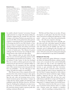#### **Rhonda Germany**

(germany\_rhonda@bah.com) is a vice president in Booz-Allen & Hamilton's Consumer and Health Practice and leads the firm's U.S. e-Business Core Team. Ms. Germany is a strategist focused on corporate and business-unit strategy for companies in technology-intensive industries, particularly those firms facing significant shifts in their value chains.

#### **Raman Muralidharan**

(muralidharan\_raman@bah.com) is a Cleveland-based vice president in Booz-Allen & Hamilton's Consumer and Health Practice. He is a strategist focused on growth for companies in technology-intensive industries, particularly those firms trying to commercialize new gamechanging technologies and/or build new business models.

Also contributing to this article were Gerald Adolph, senior vice president (adolph\_gerald @bah.com), Nick Demos, vice president (demos\_nick @bah.com), and Raj Singh, principal (singh\_raj@bah.com).

but, unable to directly "monetize" its invention, Netscape sought protection in a merger with America Online Inc. Companies ranging from the venerable New York Times Company to the startup TheStreet.com posted their content across the Web, yet the payback from either paid subscriptions or advertising has been at best limited. Indeed, it's becoming clear that for every Dell, Schwab, or Cisco, there are dozens of companies that have been unable to capitalize on their innovations. The evidence can be found in the Nasdaq listings and the drumbeat of dot-com disaster stories in business press. They illustrate the greatest challenge of the New Economy: how to bridge the widening gap between value creation and value capture.

Many companies today are stuck inside that gap. They have seen innovation galvanizing customer interest and propelling revenue growth across an industry — simple measures of value *creation*. So they have developed Web sites on which to sell their goods and services, built infrastructures for sales and service, and spent millions on marketing, all on the assumption that they could grab some of that customer interest and revenue growth to lift their own profitability — the only valid gauge of value *capture.* Yet profits have hardly ever materialized.

Why? Because many of these companies did not shift their focus from value creation (revenues) to value capture (profits) soon enough, and instead followed the flawed logic that scale, scope, and increasing returns on incremental investments govern their business. Compare the e-tailers that have chased "eyeballs" into bankruptcy with established retailers like Wal-Mart Stores Inc. and Home Depot Inc. Realizing that retailing does not enjoy increasing returns on incremental investments, they correctly fine-tuned their business models to generate profits after reaching a minimum efficient scale.

Wal-Mart and Home Depot are not alone. All types of companies *can* still capture value from their own and others' innovations by finding and exploiting new "choke points" — places on a value chain where potential profits reside — that will create competitive advantage.

The concept of choke points proves especially valuable when used with a three-phase sequence that defines how the marketplace absorbs innovations. The sequence starts when firms prove the feasibility and value of an innovation, moves to defining the rules of the game, and concludes with maximizing the value created by the innovation. CEOs who remain alert for choke points during all phases are well positioned to reap value for shareholders.

#### **Bridging the Value Gap**

The value creation/value capture dichotomy is centuries old. Before the Industrial Revolution, craftsmen and financiers such as Leonardo da Vinci and the Rothschilds could capture the value of their own handiwork and inventiveness. Industrialization complicated the ability of inventors to gain personally from their innovations. Henry Ford may have created the modern automotive industry through his system of factory organization, but the Ford Motor Company depended on earlier tinkerers who perfected the internal combustion engine. Modern telephony originated with the work of Samuel F.B. Morse, Alexander Graham Bell, and others, but a profitable business model did not emerge until Theodore N. Vail, backed by J.P. Morgan's money, consolidated the fragmented U.S. telephone industry into the Bell System.

That history reveals the dirty little secret of innovation: Its potential remains dormant unless it is coupled with a business system that unleashes its disruptive energy — either by unsettling an existing industry or by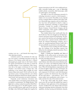separate innovations in the DC-3: the variable-pitch propeller, retractable landing gear, a type of lightweight molded unibody construction called monocoque, radial air-cooled engines, and wing flaps.

The ability to sense the revolutionary potential of a technology innovation is central to a firm's prosperity indeed, to its very survival. That ability, in turn, depends on how a company defines its industry and its place within it. Historically, large companies, and even whole industries, have been well positioned to absorb or adapt to potentially revolutionary technology or business-model innovations. Consider the example of Westinghouse Electric Company, General Electric Company, and the AT&T Corporation, which together established Radio Corporation of America in 1919.

They initially believed they would profit from the sale of radio sets. That view changed once the federal government sanctioned commercial broadcasting. The partners' control of the land lines and technologies needed to link stations into a national network enabled RCA to launch the National Broadcasting Company, and to replace the manufacturing-based business model with a far more profitable one premised on advertising sales.

The trajectories of the recording and radio industries show the workings of the three-phase sequence that defines how the marketplace absorbs innovations. Here is how the phases unfold:

Phase I: Proving the Feasibility and Value of Innovation. In this earliest period, an innovation enters the market, is tested, and is embraced by early adopters and other risk-taking innovators.

Applications during this phase are scattered and unfocused. Industry value chains and commercialization methods have yet to form, and intellectual property (IP) law needs time to catch up. Any profits to be made are in the future. When GE developed plastic compounds that could be made into lighter-weight auto doors and bumpers, the industry's molding machines were not big enough to make such components. So GE had to work with downstream suppliers to produce the infrastructure that would allow the four major players — resin producers, "Tier 2" component makers, auto manufacturers, and car buyers — to realize and share the value of the initial invention.

In this stage, which might take decades, advance scouts survey the new lands and establish base camps in the wilderness. Early applications of the technology gain attention. Feedback from early adopters helps innovators understand technology-selection mechanisms, hone their capabilities, develop sourcing and distribution channels,

creating a new one — and channels that energy into a value-capturing enterprise.

A business system is the mechanism for value capture. On occasion, a technology innovation can have the elements of the business system built into it. Edison's phonograph gave people music in their homes without the expense and limitations of the piano. It created the recording industry; it was revolutionary. Other innovations that at first appear revolutionary do not actually stimulate a new business system. Compact discs, early predictions to the contrary, didn't scramble the music business Edison had created. CDs fit well into the existing business system, lowering production costs without altering the distribution infrastructure already in place for vinyl records. Such innovations are merely evolutionary.

Frequently, several evolutionary innovations must come together before a new business system develops and an industry is revolutionized. The Wright Brothers' 1903 flight led to a military market for aircraft by World War I. But as Peter Senge notes in *The Fifth Discipline*, commercial air travel didn't become viable until 32 years after the first flight, when McDonnell Douglas drew together five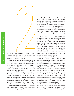**5**

and revise their value proposition. Innovators know they are creating value when other players in the nascent value chain begin to see demand, support the innovation, and collect real — if meager — revenues.

In this period, where the new innovation is not yet economically disruptive, laws and regulations intended to create a stable environment don't exist or are ignored, and the innovators tend to share freely with one another. In the early days of the PC industry, an unknown hobbyist stole and distributed to his friends the BASIC computer language that young Bill Gates and Paul Allen had written at their fledgling company, then known as Micro-Soft. The hobbyists, fans of the Altair, the first proto-PC, were annoyed that Messrs. Gates and Allen were trying to sell this vital enabling device. But if innovations are to live beyond this stage, somebody has to have the vision to imagine an end game (as Gates and Allen did) and the discipline to fashion a business system innovative enough to grab a winner's share of the profits.

Phase II: Defining the Rules of the Game. In the next stage, firms come together and break apart. In the process, they work out where, exactly, value will be created and realized along the value chain, where choke points might be found, and what mechanisms would let them trap profits in those choke points. The nature of choke points themselves is changing. In the past, many choke points control of a patent, or customer access, for example were premised on information asymmetries that, in a manufacturing-era economy, could give a firm competitive advantage for decades. Today, in an economy suffused with information, those asymmetries and related choke points still arise, but may last for just a few years, perhaps only months.

The desire for a return and the need to protect intellectual property initiate this stage of planting and cultivation. Alliances spring up to nurture mutual interests and erect barriers to market entry. The triple partnership that created RCA was a Phase II hallmark, as was the consolidation of small auto manufacturers into the General Motors Corporation in the early 1900s. Phase II is also marked by growing clarity regarding standardization, IP law, and public policy. (Broadcasters forged an IP framework when they negotiated royalty deals with musicians' unions, enabling the fledgling radio industry to flourish alongside the existing recording industry.)

As technology selection shrinks the ranks of competitors and their platforms, it clears the field for sharper competition among the survivors. They must balance the need to grow the overall industry with the imperative to secure their own position in it. Striking the right balance can be tricky. Should a company aim for high volume or high price realization? To decide, a firm must have a deep grasp of supply and demand — not easy in a still-forming industry. Cash pressures or, more likely, shortsightedness has caused companies to do deals that give away too much value. IBM bet that the largest share of value capture in the PC industry would accrue to the branded integrator of hardware and software components. In ceding the operating system rights to Microsoft, IBM lost its bet and helped turn a supplier into one of the world's largest companies by market capitalization.

In Phase II (and even as early as Phase I), a company must develop a long view about how an industry might evolve, and what the new rules of that industry will be. Although it's difficult to do conventional strategic plan-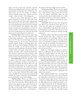ning in the face of such acute uncertainty, executives should keep reminding themselves that there *will* be operating principles and procedures that *will* determine who makes money and how. By focusing on building a dynamic, adaptable strategic plan, companies can better navigate — and even shape — the emerging rules.

This is the stage at which canny players are able to position themselves to occupy the choke points where they can harvest the ripest value-capture opportunities. These choke points in the value chain are defined by the sets of operating principles and procedures that will apply to the mature industry. The traditional choke points include: ownership of an essential pipeline, control of the customer interface, control of advantaged infrastructure, and control of supporting services. These and other choke points create five types of barriers to market entry:

• Innovation-based. Whoever has the neatest thing today wins. The rules of the game frequently revolve around product performance — does it work and what does it do? The value of new technologies is high, but switching barriers are low: In some innovation-based industries, frequent changes in technology depress entry barriers and let new entrants leapfrog established market leaders. For example, over the past two decades, customers have granted leadership in the disk drive industry to IBM, Connor, and Seagate, among others. In other industries, the leader is able to maintain its position over time, but does so only by innovating constantly to offer products that lead the market in performance. The microprocessor industry, which Intel leads, is one such example.

• Value-added–based. Whoever can deliver a "can'tdo-without" system wins. Speed to market with a good, but not necessarily perfect, product is critical. Here, new technologies are valuable, but network effects can create substantial switching barriers as the innovators swiftly grab dominant market share. The switching barriers give winners a strong position because customers are reluctant to migrate to competitors (even if they offer attractive features or a lower price). Microsoft Word added enough value to the office PC that it became the word processing standard, and, thanks to Microsoft's broad distribution power and leadership, became hard to dislodge.

• Alignment-based. Whoever can deliver the best price-service combination for a well-defined target market wins. Perfect does matter here. Winners align their total business system against the target market's needs, get the offering to the highest possible quality in test markets, then roll it out. For example, Southwest Airlines Company built a business system that serves — and dominates —

the market for short-haul, budget-conscious travelers.

• Infrastructure-based. Whoever owns the tangible asset or distribution network wins. An airline's landing slots, a cable television company's head ends and wires, and an oil company's retail gasoline outlets can make switching barriers almost insurmountable. As a result, innovation is usually less of a threat than is regulation although relying on regulatory protections can induce harmful laziness.

• Cost-based. When all of the above strategies fail, then whoever can maintain the lowest prices for customers wins. Here again, new technologies can give a player a valuable efficiency edge. But for the customer, the switching barriers are the lowest. This is the race so many commodity chemicals companies are running, seemingly without end.

In Phase II, industry value chains may cluster around one type of choke point, only to crumble and coalesce around another as new technologies, alliances, and customer expectations rapidly alter the operating conventions. So it's essential for a company to see clearly how the barriers and rules are developing. Thus informed, executives can build real value-capture mechanisms — and know when to change them when an innovation threatens to disrupt the system.

Finally, one of the biggest challenges for leaders in Phase II is walking the fine line between actions that expand the emerging industry and those that protect established or future positions. Lean too far toward the former and you risk value loss; too far toward the latter and you stifle development of the nascent industry.

Phase III: Value Maximization. In the last stage, the survivors of the harsh competition remain while the less hardy players have left (or have been carried off) the field. The technology kinks have been worked out and the industry structure is somewhat stable. Value propositions are in place, and business and economic models have been tested. Phase III is entirely focused on getting the most value for the enterprise.

With standards established, this is the period when true value capture, based on the actions taken in Phase II, has traditionally occurred. But it's not a period of rest. In the personal computer sphere, the past 20 years have seen wave after wave of Phase III value-capture upheavals. Early on, IBM deployed its open architecture strategy to overcome Apple Computer Inc. for PC leadership. However, the Compaq Computer Corporation soon capitalized on operating speed to win share from IBM and claim the industry crown — for a while. Then the Dell Computer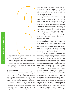Corporation upended the market with an innovative business system based on deep knowledge of each customer's needs and direct delivery of customized PCs.

Phase III never really ends. There is no Phase IV. Winners must continue innovating, responding to shifting customer needs, and, thus, growing their businesses — and occasionally recognizing when it's time to circle back to Phase II again!

#### **Value Constellations**

The drive to innovate is even more important in the New Economy, where the rapid sharing of information forces players to adapt constantly. In addition, ruptures in traditional boundaries in the value chains are requiring companies rethink how they go to market, what they need to own, and how they deal with suppliers and customers.

The speed of technological change has had great impact on the three-phase sequence from value creation to value capture. Innovations such as greater microprocessing power, Internet protocol networking, hyperstorage, and genomics are transforming value chains in almost every industry. The reason: Many of these value chains, and the very structure of industry in the old economy, were held together by information. Today, these technology innovations are rendering information abundant, ubiquitous, fast, and free.

The availability of information is perhaps the single most significant contributor to corporate change. As Nobel laureate economist Ronald Coase concluded almost 70 years ago, the boundaries of the firm are defined by its transaction costs. "A firm will tend to expand until the costs of organizing an extra transaction within the firm become equal to the costs of carrying out the same transaction on the open market," Mr. Coase, now a professor emeritus at the University of Chicago Law School, wrote. In the past, those costs were determined largely by information. Who could supply the needed goods? At what quality? For what price? Were better prices available? Better quality? Could delivery be guaranteed more quickly?

Hard to acquire and imperfect, information contributed to high transaction costs, which in turn led firms in many industries to vertically integrate. It cost GM far less to source its own parts internally than to search the globe for suppliers. By keeping information inside its boundaries, an integrated company could create value in one division (e.g., drug discovery) and capture it in another (e.g., drug sales and marketing).

Today, as the costs of sharing and using information fall, companies and their industries have an impetus to "de-integrate," according to the Coase theory. Think of GM's spin-off of its parts division, now the Delphi Automotive Systems Corporation. The trend is accelerating as the Internet and other services give companies access to even more information. The impact: The threshold of cost set by the availability of information can no longer define the firm's or the industry's boundaries.

The result is industry value chains that are undergoing almost continuous evolution. The morphing value chain — you might call its new form a value web, an extended enterprise, or (our favorite) a value constellation — challenges firms that thrived with an integrated approach. The best value-capture mechanisms may now lie outside the individual firm's boundaries. Yet the value created by a firm may be necessary to the viability of the entire constellation. The nature and definition of the firm are also undergoing profound changes, thanks to the ubiquity of information. The firm is shifting from a selfcontained value-creation and -capture apparatus into one part of an interdependent community whose members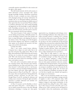continually negotiate responsibility for value creation and the right to value capture.

This shift breaks decisively with the old economy, in which information scarcity encouraged value capture through knowledge hoarding. Information asymmetries still exist, of course; a company can create a choke point with advantaged pricing and customer information, for example. But in an information-suffused environment, asymmetries alone are more fleeting, less reliable sources of value capture than they were previously. Winners will have to transform information into value-creating knowledge and aggressively use this knowledge to capture additional profit. Knowledge asymmetries may be the best choke point in the New Economy, and when used to create further new asymmetries, also the most enduring.

That means the game of value capture is no longer won by finding and protecting a defensible position: It's won by developing a business system that's quicker and better at using information, and adapting the system as the industry evolves. This change can be felt throughout the innovation–adoption cycle. Moreover, it implies that value capture can be planned and executed in all three stages, and not left for the last phase.

#### Consider these shifts:

*Phase I now revolves around business definition.* Companies have to figure out much earlier than in the past what end games they might pursue. What are their likely value propositions? What frameworks and scenarios will they use to envision the nascent industry's growth path? With early business-system thinking, a company can make smart choices about the technologies, product mixes, and markets to pursue.

New tools, such as real-options analysis and corporate venturing systems, help innovators inject businesssystem thinking into new ideas and decide how to take them forward. A well-stocked tool kit is vital because, even in Phase I, innovators should be thinking hard about how their industry will evolve. What might drive conflicting scenarios in Phase II and Phase III — where are the tar pits, where are the gold mines? Having defined the potential scenarios, innovators can plot their route through Phases II and III, watching for milestones and making course corrections. Having the right tools allows innovators to quickly understand and assimilate new information along the way.

*In Phase II, executives need the flexibility to discover many value-capture choke points — and the ability to coalesce an industry around these points as they shift.* Although information technology is creating new value-capture

opportunities (e.g., clearinghouses and exchanges, ownership of technology backbones), these choke points are no longer necessarily natural, or enduring. Even a winning bet on the best choke point can prove fleeting. Yahoo bet on control of the customer interface, and soared to a market cap that at one time exceeded that of GM and Ford combined. But as investors have realized that Yahoo's Web traffic did not translate into ad and transaction revenues, its share price has dropped by more than two-thirds. (Tacking in another direction, Yahoo could migrate its profit source from ad sales to other streams such as referrals to e-tailers and financial services providers.)

What Phase II really requires is a new focus on alliance development and management: playing the role of "constellation manager" can help a firm capture value even as its industry undergoes a roiling evolution. Moreover, Phase II requires the ability to move smoothly from one value-capture mechanism to the next, constantly adapting and evolving the business. The more the firm is able to move the ownership of non-fungible fixed assets out among its constellation, the easier it becomes for the firm to adapt and change quickly. Also, the better and more far-reaching the constellation, the greater the ability of the firm to quickly sense, identify, and respond to key changes in its environment.

Dell, to cite one prominent example, uses its sourcing systems and customer knowledge to manage networks of suppliers in order to fill customized orders. Dell's network-intensive and resource-efficient model is also helping it change its value-capture mechanisms. As the growth of profits from selling PCs slows, Dell is migrating to other sources of revenue and profit, such as consulting services. Dell's continued success will depend on how quickly it drives this transformation, and whether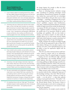### **Seven Guidelines for Phase II Value-Capture**

- **1** Is your industry subject to increasing returns? If so, what's the value-added component that will give your firm the lion's share of the profits? JVC won the VCR format wars by combining open standards, lower costs, and longer playing times (making movie-watching more convenient), while Sony bet on its higher-quality proprietary Betamax technology.
- **2** Conversely, does your industry lack real first-mover advantages, so that a new high-value innovation can usually displace the dominant incumbent? Apple thought it owned the PC market, and saw no reason to open its operating system to other "clone" manufacturers and developers. IBM defined an open architecture, thus creating cost efficiencies and rendering Apple's first-mover advantage almost worthless.
- **3** Does your industry have a large but underdeveloped market segment that can be served better by a new business system more closely aligned to its needs? If so, you may be able to perfect your innovation in an unnoticed trial market, then rapidly roll it out to achieve growth, the way Wal-Mart and the Home Depot did.
- **4** If your market is price sensitive, can you build a customer base loyal enough to follow you up the demand curve as you innovate? That's what GM did when it pitted the low-priced Chevrolet against Ford's Model T, then carried its audience up to Pontiac, Oldsmobile, Buick, and Cadillac. Toyota turned the strategy on GM a half-century later.
- **5** Conversely, is the right strategy to dominate a high-price niche market, reduce your costs over time, and move down the demand curve to capture larger but more price-sensitive markets? Ralph Lauren has employed this strategy.
- **6** Do mass customization and configuration management create value in your industry? Dell mass-customizes PCs by combining made-to-order PC sourcing with customerfriendly telephone and Internet ordering. The approach helped Dell outmaneuver Compaq, a company that couldn't customize its machines or modify its retail relationships.
- **7** Or, should you focus on the one "killer app"? The dormant handheld computer market exploded when Palm introduced the Pilot series with limited — but superbly executed functionality.

the change happens fast enough to offset the slower growth in earnings from PC sales.

Players in technology-intensive industries manage their constellations by gathering technologies around open platforms. Pharmaceutical companies, for example, have realized they cannot profit from new technologies without external alliances that give them access to those technologies — technology is changing too fast to develop most things in-house. New technologies such as "wet science" capabilities, computer tools, bioinformatics, assay chips, combinatorial chemistry libraries, and animal models are largely sourced from outside the pharmaceutical company. Eli Lilly and Company, for one, has allied with a significant number of technology partners to get the needed tools. If an innovation extends its current knowledge and capabilities, Lilly can then decide to develop a new business around it. In other words, the multiple alliances are an early-sensing network, helping Lilly decide which businesses to pursue and giving it an advantage during the Phase II stage of development.

Finally, companies that manage successfully through Phase II will earn the opportunity to play in Phase III of their industry. Moving to the next phase requires a new mind-set: new tools, a more rapid planning process, and the ability to keep the organization aligned with the strategic direction.

*Phase III is now about continuous business model innovation, centered on customer needs.* In an informationscarce economy, Phase III consisted largely of execution — keeping costs low and efficiencies high, exploiting pricing opportunities, and extending offerings to new market segments. But today, a company must continue innovating, grabbing any slight advantage created by temporary knowledge asymmetries. Much of the innovation will be in business systems, as companies use their knowledge of customer needs to develop portfolios of businesses, each with different risk-to-reward ratios.

Filling customer needs requires a company to bring its customers inside the firm, making their input part of the knowledge enriching a value chain. With the boundaries of the firm now porous, customers no longer sit outside — or at the end of — a value chain, passively waiting to receive goods and services. "The market," C.K. Prahalad and Venkatram Ramaswamy wrote last year in the *Harvard Business Review*, "has become a forum in which consumers play an active role in creating and competing for value." Customers are "a new source of competence for the corporation."